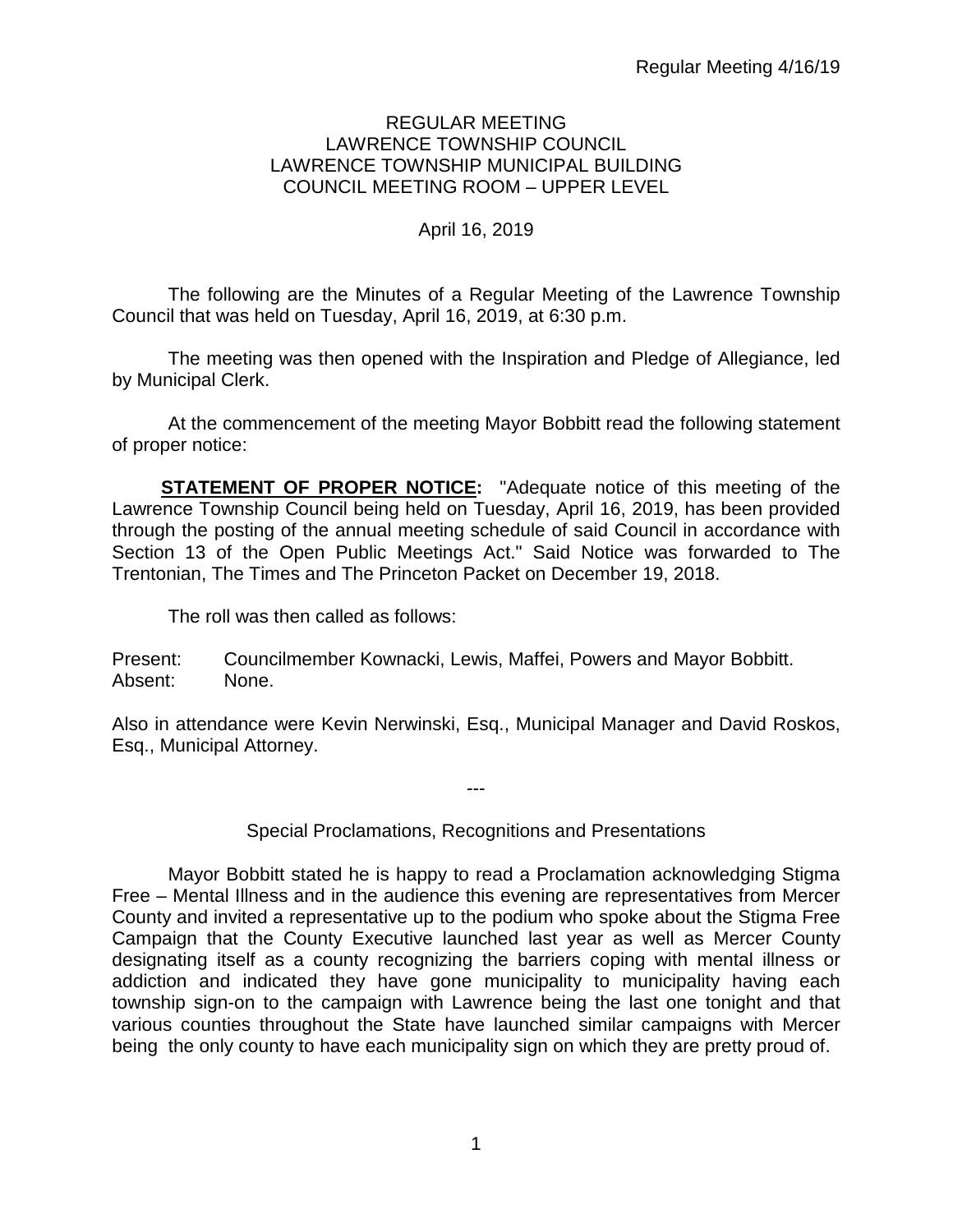#### REGULAR MEETING LAWRENCE TOWNSHIP COUNCIL LAWRENCE TOWNSHIP MUNICIPAL BUILDING COUNCIL MEETING ROOM – UPPER LEVEL

# April 16, 2019

The following are the Minutes of a Regular Meeting of the Lawrence Township Council that was held on Tuesday, April 16, 2019, at 6:30 p.m.

The meeting was then opened with the Inspiration and Pledge of Allegiance, led by Municipal Clerk.

At the commencement of the meeting Mayor Bobbitt read the following statement of proper notice:

**STATEMENT OF PROPER NOTICE:** "Adequate notice of this meeting of the Lawrence Township Council being held on Tuesday, April 16, 2019, has been provided through the posting of the annual meeting schedule of said Council in accordance with Section 13 of the Open Public Meetings Act." Said Notice was forwarded to The Trentonian, The Times and The Princeton Packet on December 19, 2018.

The roll was then called as follows:

Present: Councilmember Kownacki, Lewis, Maffei, Powers and Mayor Bobbitt. Absent: None.

Also in attendance were Kevin Nerwinski, Esq., Municipal Manager and David Roskos, Esq., Municipal Attorney.

Special Proclamations, Recognitions and Presentations

---

Mayor Bobbitt stated he is happy to read a Proclamation acknowledging Stigma Free – Mental Illness and in the audience this evening are representatives from Mercer County and invited a representative up to the podium who spoke about the Stigma Free Campaign that the County Executive launched last year as well as Mercer County designating itself as a county recognizing the barriers coping with mental illness or addiction and indicated they have gone municipality to municipality having each township sign-on to the campaign with Lawrence being the last one tonight and that various counties throughout the State have launched similar campaigns with Mercer being the only county to have each municipality sign on which they are pretty proud of.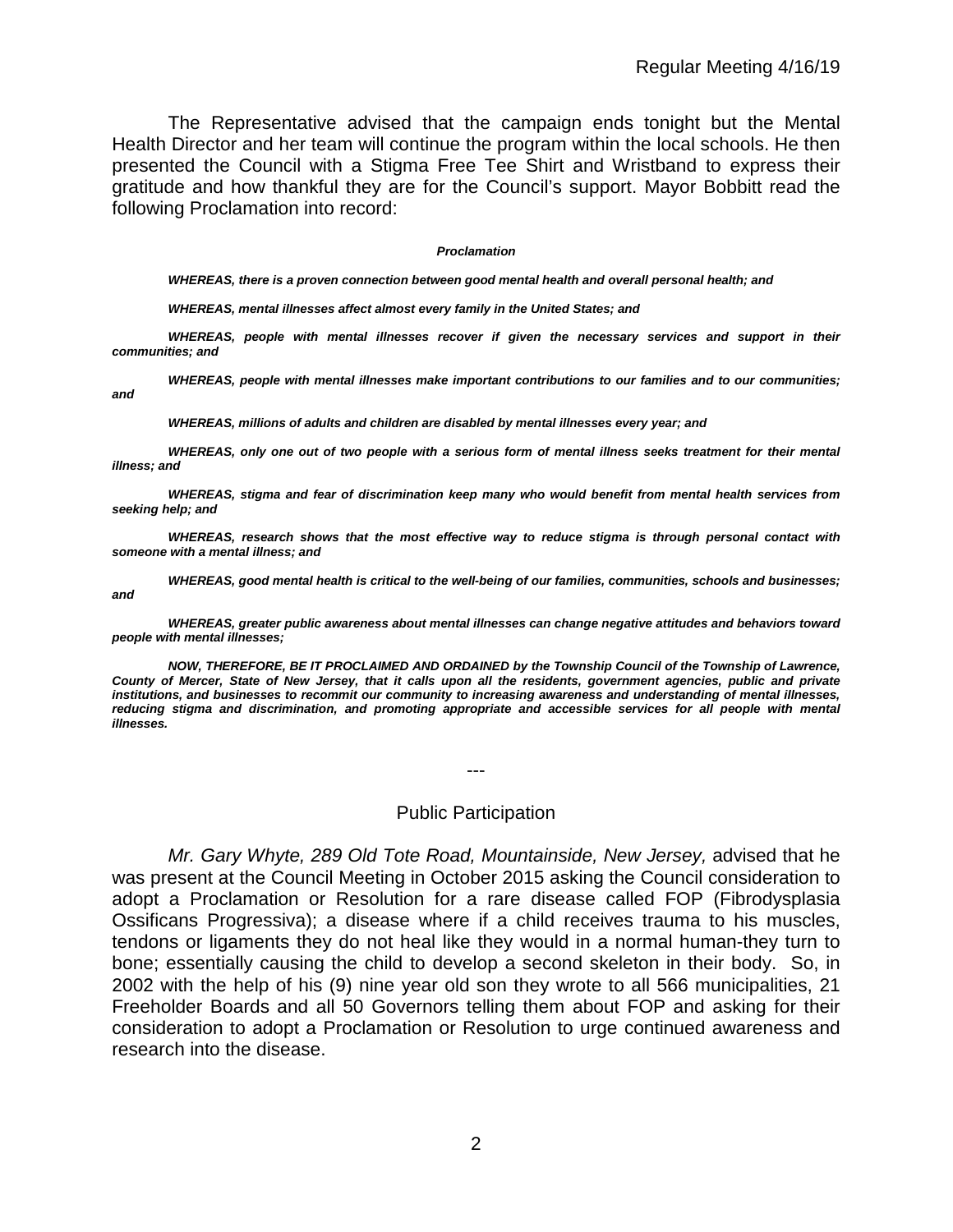The Representative advised that the campaign ends tonight but the Mental Health Director and her team will continue the program within the local schools. He then presented the Council with a Stigma Free Tee Shirt and Wristband to express their gratitude and how thankful they are for the Council's support. Mayor Bobbitt read the following Proclamation into record:

#### *Proclamation*

*WHEREAS, there is a proven connection between good mental health and overall personal health; and*

*WHEREAS, mental illnesses affect almost every family in the United States; and*

*WHEREAS, people with mental illnesses recover if given the necessary services and support in their communities; and*

*WHEREAS, people with mental illnesses make important contributions to our families and to our communities; and*

*WHEREAS, millions of adults and children are disabled by mental illnesses every year; and*

*WHEREAS, only one out of two people with a serious form of mental illness seeks treatment for their mental illness; and*

*WHEREAS, stigma and fear of discrimination keep many who would benefit from mental health services from seeking help; and*

*WHEREAS, research shows that the most effective way to reduce stigma is through personal contact with someone with a mental illness; and*

*WHEREAS, good mental health is critical to the well-being of our families, communities, schools and businesses; and*

*WHEREAS, greater public awareness about mental illnesses can change negative attitudes and behaviors toward people with mental illnesses;*

*NOW, THEREFORE, BE IT PROCLAIMED AND ORDAINED by the Township Council of the Township of Lawrence, County of Mercer, State of New Jersey, that it calls upon all the residents, government agencies, public and private institutions, and businesses to recommit our community to increasing awareness and understanding of mental illnesses,*  reducing stigma and discrimination, and promoting appropriate and accessible services for all people with mental *illnesses.*

---

#### Public Participation

*Mr. Gary Whyte, 289 Old Tote Road, Mountainside, New Jersey,* advised that he was present at the Council Meeting in October 2015 asking the Council consideration to adopt a Proclamation or Resolution for a rare disease called FOP (Fibrodysplasia Ossificans Progressiva); a disease where if a child receives trauma to his muscles, tendons or ligaments they do not heal like they would in a normal human-they turn to bone; essentially causing the child to develop a second skeleton in their body. So, in 2002 with the help of his (9) nine year old son they wrote to all 566 municipalities, 21 Freeholder Boards and all 50 Governors telling them about FOP and asking for their consideration to adopt a Proclamation or Resolution to urge continued awareness and research into the disease.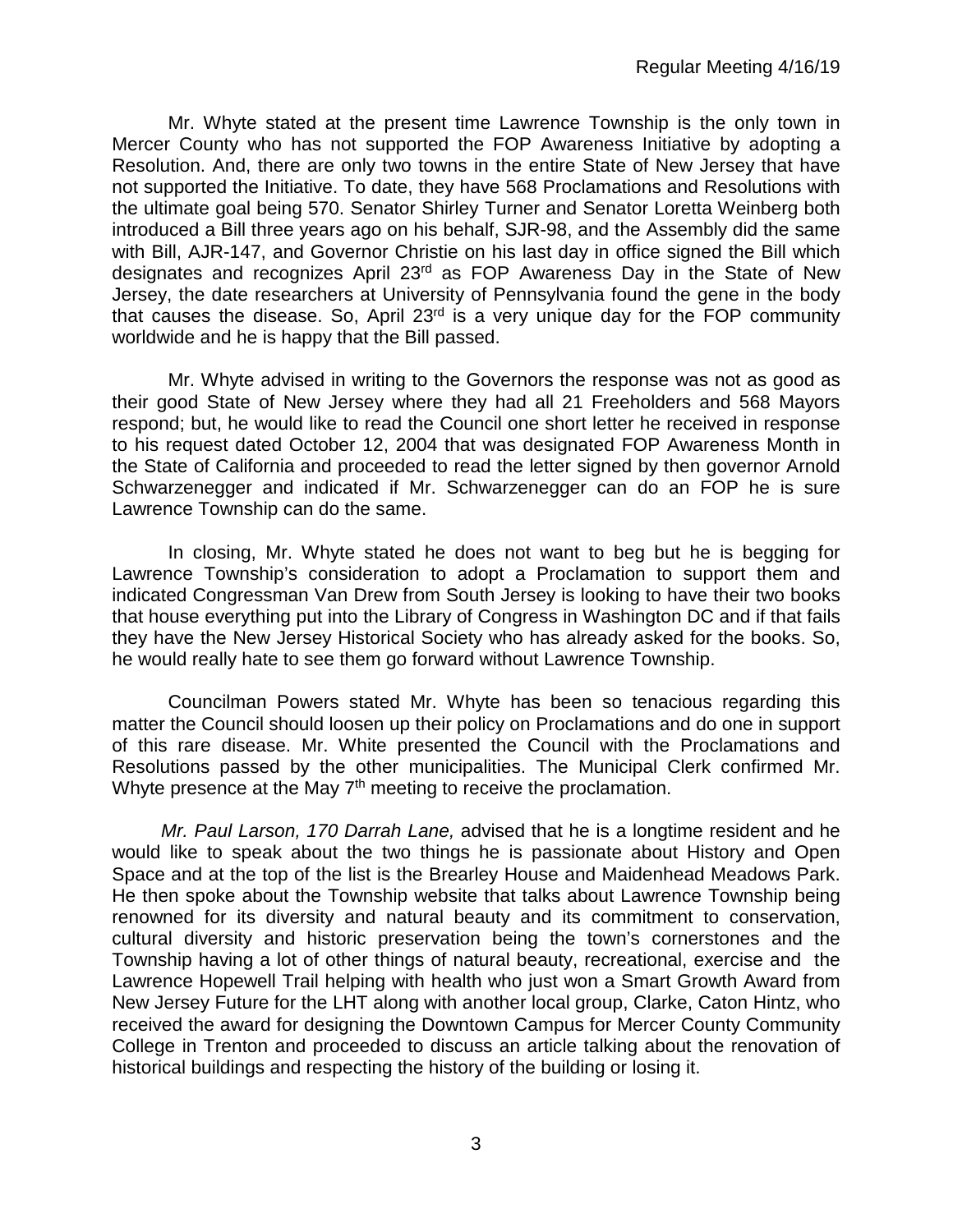Mr. Whyte stated at the present time Lawrence Township is the only town in Mercer County who has not supported the FOP Awareness Initiative by adopting a Resolution. And, there are only two towns in the entire State of New Jersey that have not supported the Initiative. To date, they have 568 Proclamations and Resolutions with the ultimate goal being 570. Senator Shirley Turner and Senator Loretta Weinberg both introduced a Bill three years ago on his behalf, SJR-98, and the Assembly did the same with Bill, AJR-147, and Governor Christie on his last day in office signed the Bill which designates and recognizes April 23rd as FOP Awareness Day in the State of New Jersey, the date researchers at University of Pennsylvania found the gene in the body that causes the disease. So, April  $23<sup>rd</sup>$  is a very unique day for the FOP community worldwide and he is happy that the Bill passed.

Mr. Whyte advised in writing to the Governors the response was not as good as their good State of New Jersey where they had all 21 Freeholders and 568 Mayors respond; but, he would like to read the Council one short letter he received in response to his request dated October 12, 2004 that was designated FOP Awareness Month in the State of California and proceeded to read the letter signed by then governor Arnold Schwarzenegger and indicated if Mr. Schwarzenegger can do an FOP he is sure Lawrence Township can do the same.

In closing, Mr. Whyte stated he does not want to beg but he is begging for Lawrence Township's consideration to adopt a Proclamation to support them and indicated Congressman Van Drew from South Jersey is looking to have their two books that house everything put into the Library of Congress in Washington DC and if that fails they have the New Jersey Historical Society who has already asked for the books. So, he would really hate to see them go forward without Lawrence Township.

Councilman Powers stated Mr. Whyte has been so tenacious regarding this matter the Council should loosen up their policy on Proclamations and do one in support of this rare disease. Mr. White presented the Council with the Proclamations and Resolutions passed by the other municipalities. The Municipal Clerk confirmed Mr. Whyte presence at the May 7<sup>th</sup> meeting to receive the proclamation.

*Mr. Paul Larson, 170 Darrah Lane,* advised that he is a longtime resident and he would like to speak about the two things he is passionate about History and Open Space and at the top of the list is the Brearley House and Maidenhead Meadows Park. He then spoke about the Township website that talks about Lawrence Township being renowned for its diversity and natural beauty and its commitment to conservation, cultural diversity and historic preservation being the town's cornerstones and the Township having a lot of other things of natural beauty, recreational, exercise and the Lawrence Hopewell Trail helping with health who just won a Smart Growth Award from New Jersey Future for the LHT along with another local group, Clarke, Caton Hintz, who received the award for designing the Downtown Campus for Mercer County Community College in Trenton and proceeded to discuss an article talking about the renovation of historical buildings and respecting the history of the building or losing it.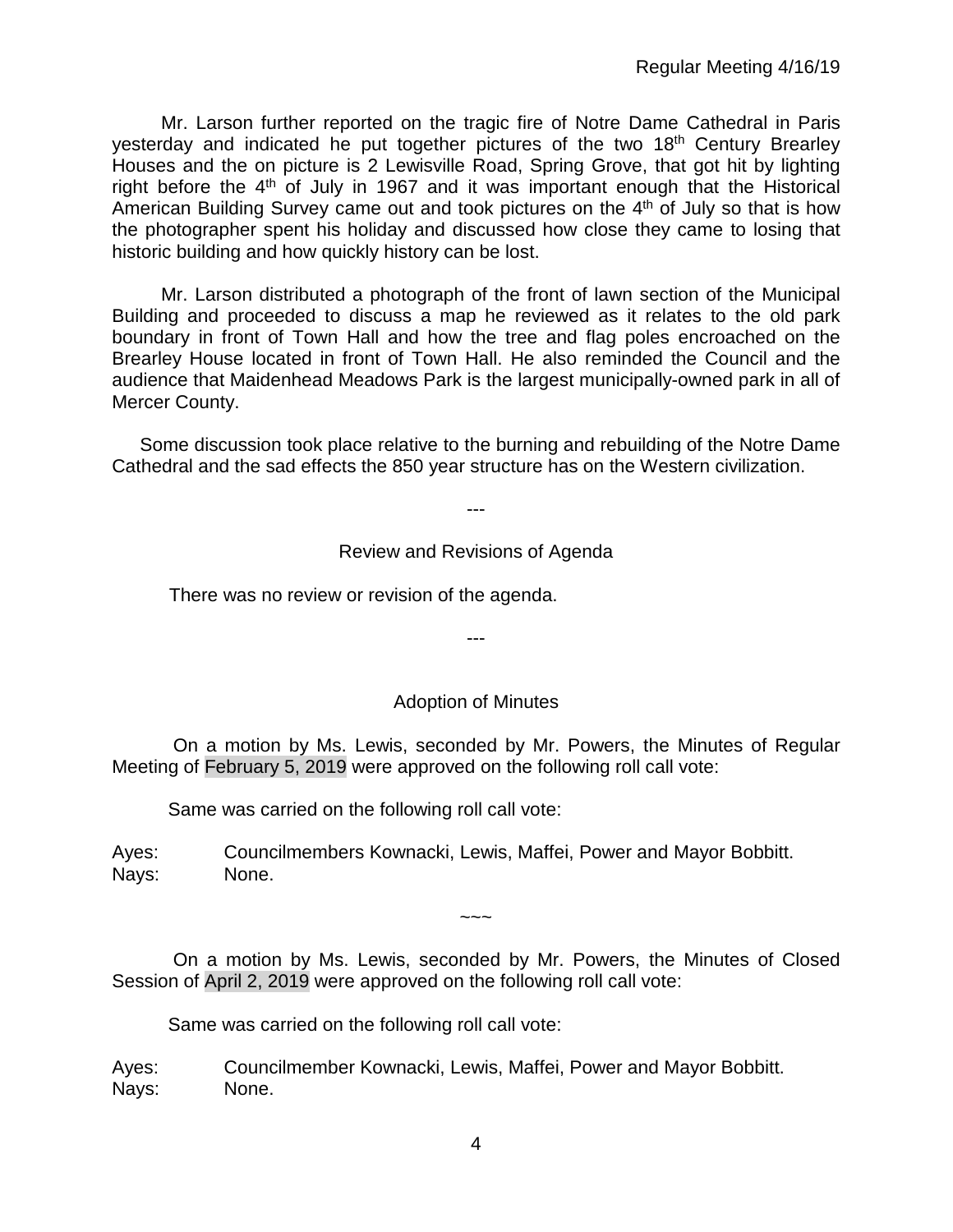Mr. Larson further reported on the tragic fire of Notre Dame Cathedral in Paris yesterday and indicated he put together pictures of the two 18<sup>th</sup> Century Brearley Houses and the on picture is 2 Lewisville Road, Spring Grove, that got hit by lighting right before the  $4<sup>th</sup>$  of July in 1967 and it was important enough that the Historical American Building Survey came out and took pictures on the  $4<sup>th</sup>$  of July so that is how the photographer spent his holiday and discussed how close they came to losing that historic building and how quickly history can be lost.

Mr. Larson distributed a photograph of the front of lawn section of the Municipal Building and proceeded to discuss a map he reviewed as it relates to the old park boundary in front of Town Hall and how the tree and flag poles encroached on the Brearley House located in front of Town Hall. He also reminded the Council and the audience that Maidenhead Meadows Park is the largest municipally-owned park in all of Mercer County.

Some discussion took place relative to the burning and rebuilding of the Notre Dame Cathedral and the sad effects the 850 year structure has on the Western civilization.

---

## Review and Revisions of Agenda

There was no review or revision of the agenda.

---

#### Adoption of Minutes

On a motion by Ms. Lewis, seconded by Mr. Powers, the Minutes of Regular Meeting of February 5, 2019 were approved on the following roll call vote:

Same was carried on the following roll call vote:

Ayes: Councilmembers Kownacki, Lewis, Maffei, Power and Mayor Bobbitt. Nays: None.

 $\sim\sim\sim$ 

On a motion by Ms. Lewis, seconded by Mr. Powers, the Minutes of Closed Session of April 2, 2019 were approved on the following roll call vote:

Same was carried on the following roll call vote:

Ayes: Councilmember Kownacki, Lewis, Maffei, Power and Mayor Bobbitt. Nays: None.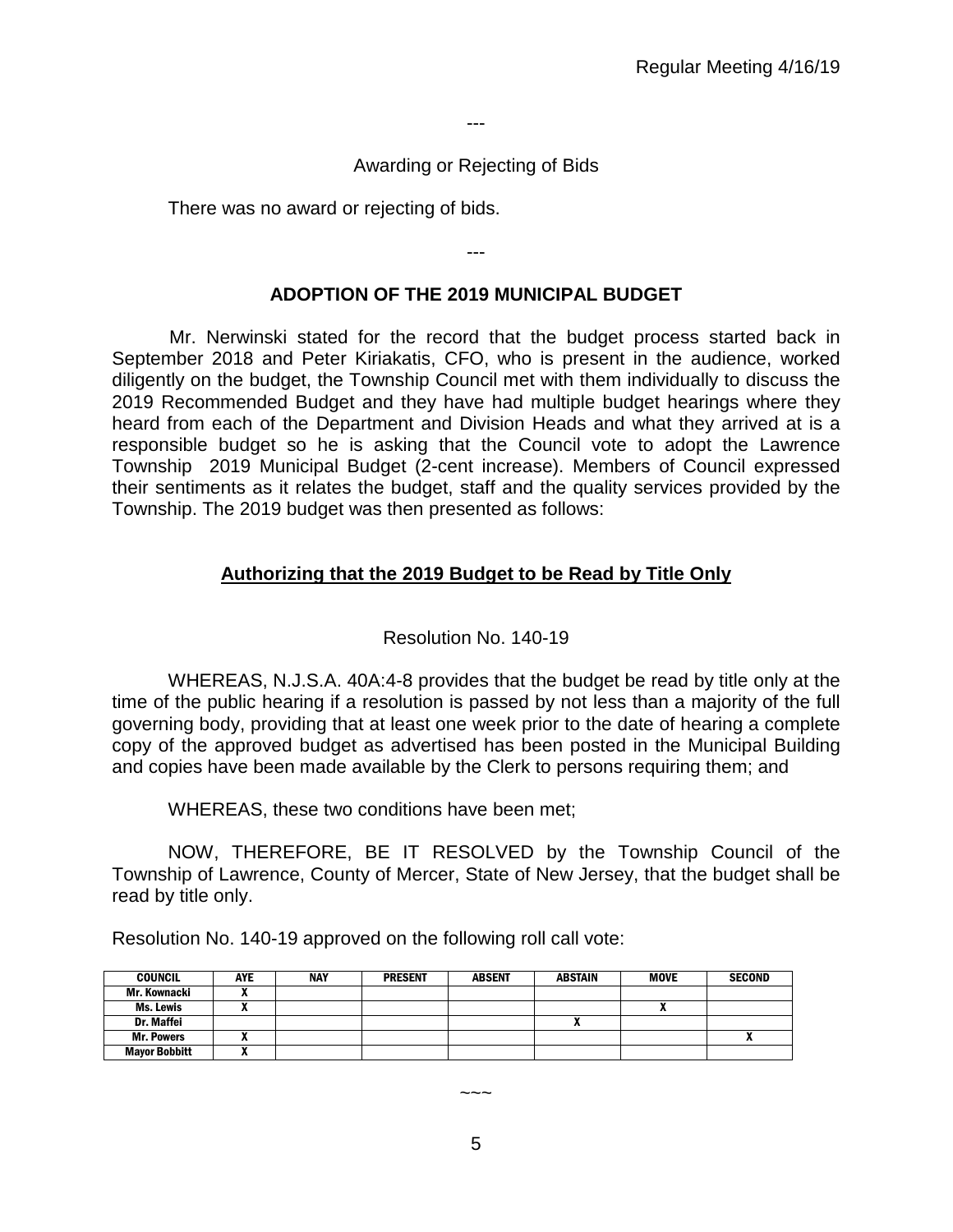---

# Awarding or Rejecting of Bids

There was no award or rejecting of bids.

# **ADOPTION OF THE 2019 MUNICIPAL BUDGET**

---

Mr. Nerwinski stated for the record that the budget process started back in September 2018 and Peter Kiriakatis, CFO, who is present in the audience, worked diligently on the budget, the Township Council met with them individually to discuss the 2019 Recommended Budget and they have had multiple budget hearings where they heard from each of the Department and Division Heads and what they arrived at is a responsible budget so he is asking that the Council vote to adopt the Lawrence Township 2019 Municipal Budget (2-cent increase). Members of Council expressed their sentiments as it relates the budget, staff and the quality services provided by the Township. The 2019 budget was then presented as follows:

# **Authorizing that the 2019 Budget to be Read by Title Only**

## Resolution No. 140-19

WHEREAS, N.J.S.A. 40A:4-8 provides that the budget be read by title only at the time of the public hearing if a resolution is passed by not less than a majority of the full governing body, providing that at least one week prior to the date of hearing a complete copy of the approved budget as advertised has been posted in the Municipal Building and copies have been made available by the Clerk to persons requiring them; and

WHEREAS, these two conditions have been met;

NOW, THEREFORE, BE IT RESOLVED by the Township Council of the Township of Lawrence, County of Mercer, State of New Jersey, that the budget shall be read by title only.

Resolution No. 140-19 approved on the following roll call vote:

| <b>COUNCIL</b>       | <b>AYE</b> | <b>NAY</b> | <b>PRESENT</b> | <b>ABSENT</b> | <b>ABSTAIN</b> | <b>MOVE</b> | <b>SECOND</b> |
|----------------------|------------|------------|----------------|---------------|----------------|-------------|---------------|
| Mr. Kownacki         |            |            |                |               |                |             |               |
| <b>Ms. Lewis</b>     |            |            |                |               |                |             |               |
| <b>Dr. Maffei</b>    |            |            |                |               |                |             |               |
| <b>Mr. Powers</b>    |            |            |                |               |                |             |               |
| <b>Mayor Bobbitt</b> | . .        |            |                |               |                |             |               |

 $\sim\sim\sim$ 

5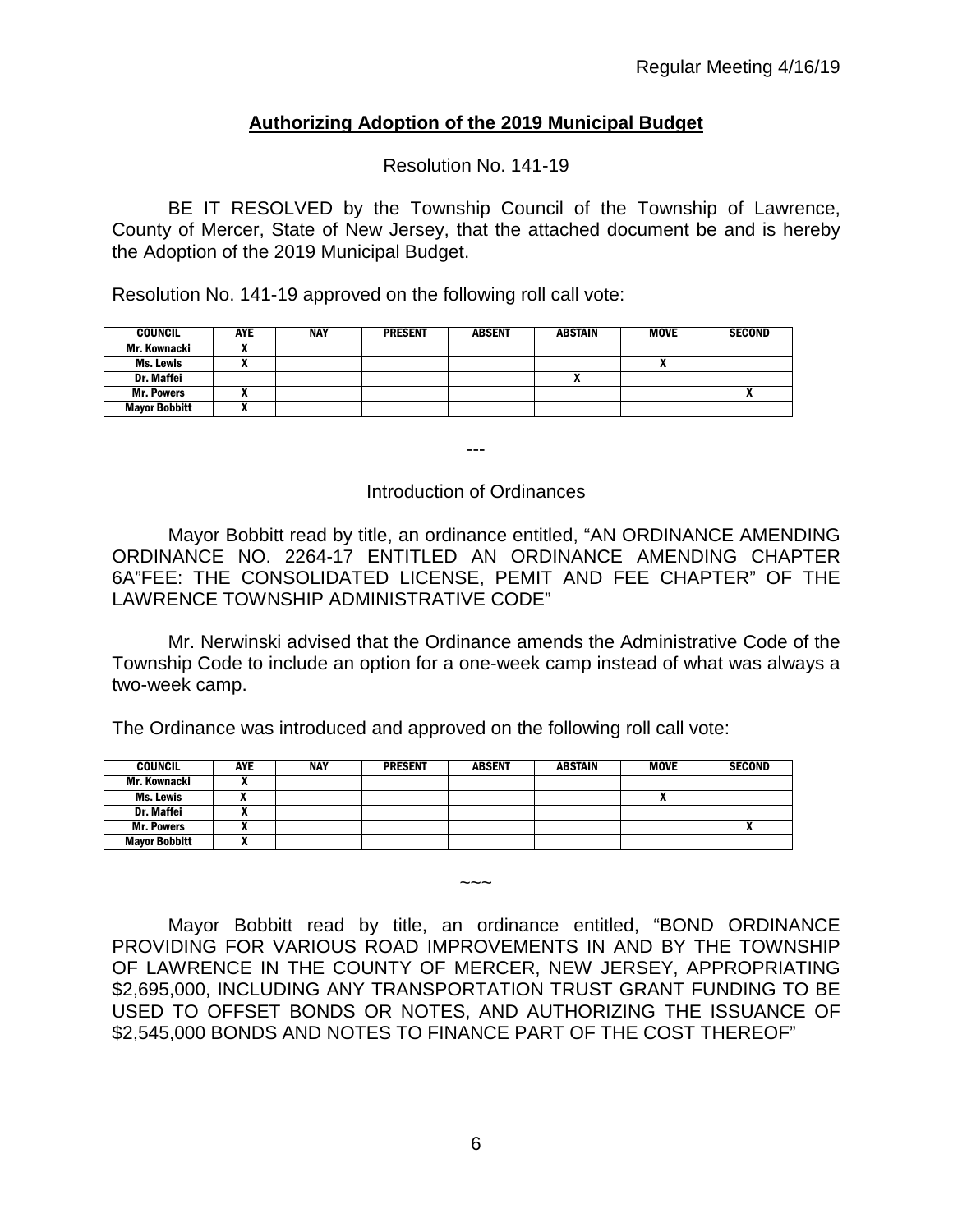# **Authorizing Adoption of the 2019 Municipal Budget**

Resolution No. 141-19

BE IT RESOLVED by the Township Council of the Township of Lawrence, County of Mercer, State of New Jersey, that the attached document be and is hereby the Adoption of the 2019 Municipal Budget.

Resolution No. 141-19 approved on the following roll call vote:

| <b>COUNCIL</b>       | <b>AYE</b> | NAY | <b>PRESENT</b> | <b>ABSENT</b> | <b>ABSTAIN</b> | <b>MOVE</b> | <b>SECOND</b> |
|----------------------|------------|-----|----------------|---------------|----------------|-------------|---------------|
| Mr. Kownacki         |            |     |                |               |                |             |               |
| Ms. Lewis            | "          |     |                |               |                | n           |               |
| Dr. Maffei           |            |     |                |               | ,,             |             |               |
| <b>Mr. Powers</b>    | "          |     |                |               |                |             |               |
| <b>Mayor Bobbitt</b> | "          |     |                |               |                |             |               |

---

#### Introduction of Ordinances

Mayor Bobbitt read by title, an ordinance entitled, "AN ORDINANCE AMENDING ORDINANCE NO. 2264-17 ENTITLED AN ORDINANCE AMENDING CHAPTER 6A"FEE: THE CONSOLIDATED LICENSE, PEMIT AND FEE CHAPTER" OF THE LAWRENCE TOWNSHIP ADMINISTRATIVE CODE"

Mr. Nerwinski advised that the Ordinance amends the Administrative Code of the Township Code to include an option for a one-week camp instead of what was always a two-week camp.

The Ordinance was introduced and approved on the following roll call vote:

| <b>COUNCIL</b>       | AYE | <b>NAY</b> | <b>PRESENT</b> | <b>ABSENT</b> | <b>ABSTAIN</b> | MOVE                       | <b>SECOND</b> |
|----------------------|-----|------------|----------------|---------------|----------------|----------------------------|---------------|
| Mr. Kownacki         |     |            |                |               |                |                            |               |
| Ms. Lewis            |     |            |                |               |                | $\boldsymbol{\mathcal{L}}$ |               |
| Dr. Maffei           |     |            |                |               |                |                            |               |
| <b>Mr. Powers</b>    |     |            |                |               |                |                            |               |
| <b>Mayor Bobbitt</b> |     |            |                |               |                |                            |               |

Mayor Bobbitt read by title, an ordinance entitled, "BOND ORDINANCE PROVIDING FOR VARIOUS ROAD IMPROVEMENTS IN AND BY THE TOWNSHIP OF LAWRENCE IN THE COUNTY OF MERCER, NEW JERSEY, APPROPRIATING \$2,695,000, INCLUDING ANY TRANSPORTATION TRUST GRANT FUNDING TO BE USED TO OFFSET BONDS OR NOTES, AND AUTHORIZING THE ISSUANCE OF \$2,545,000 BONDS AND NOTES TO FINANCE PART OF THE COST THEREOF"

 $\sim\sim\sim$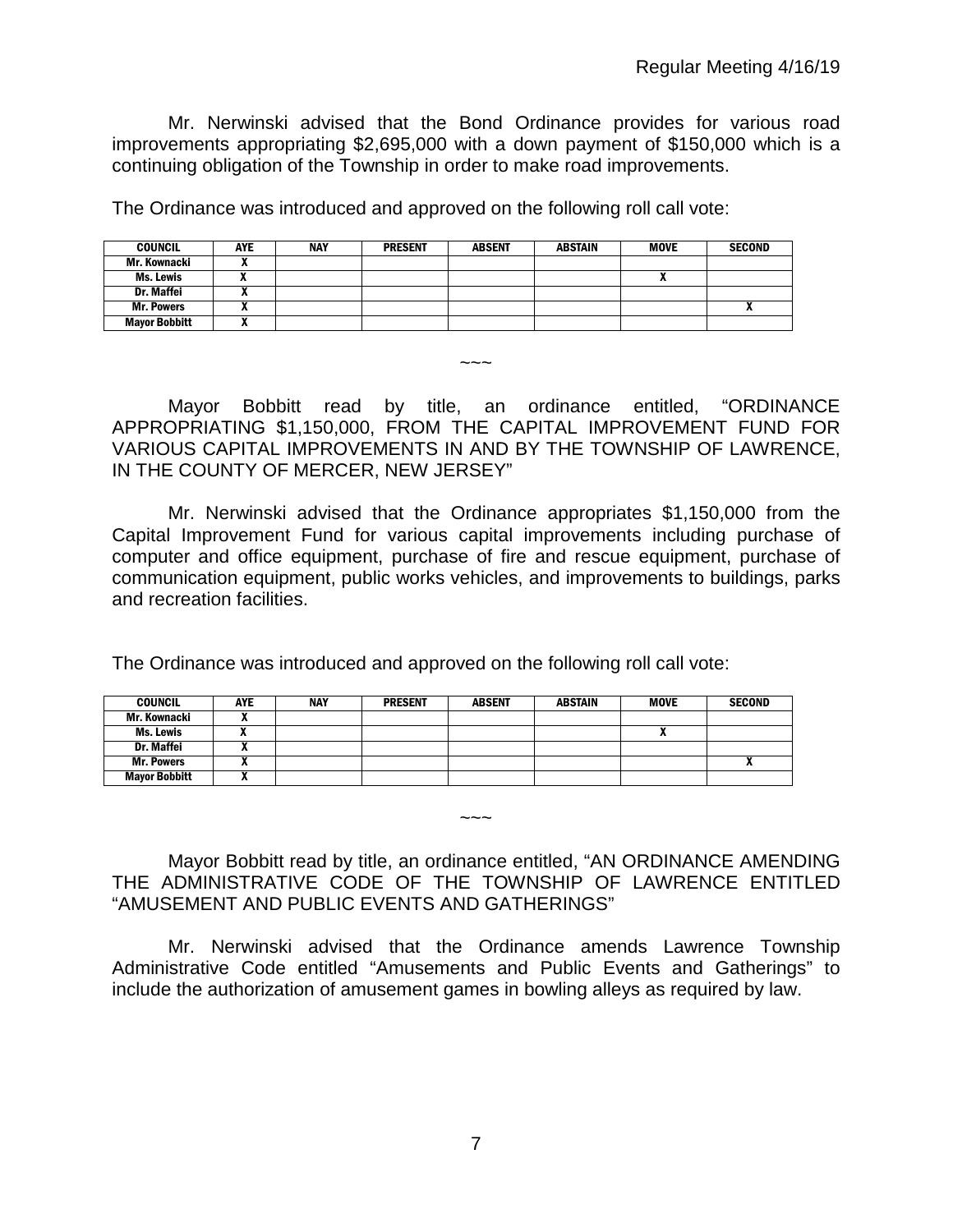Mr. Nerwinski advised that the Bond Ordinance provides for various road improvements appropriating \$2,695,000 with a down payment of \$150,000 which is a continuing obligation of the Township in order to make road improvements.

The Ordinance was introduced and approved on the following roll call vote:

| <b>COUNCIL</b>       | <b>AYE</b> | <b>NAY</b> | <b>PRESENT</b> | <b>ABSENT</b> | <b>ABSTAIN</b> | <b>MOVE</b> | <b>SECOND</b>              |
|----------------------|------------|------------|----------------|---------------|----------------|-------------|----------------------------|
| Mr. Kownacki         |            |            |                |               |                |             |                            |
| Ms. Lewis            |            |            |                |               |                |             |                            |
| <b>Dr. Maffei</b>    |            |            |                |               |                |             |                            |
| <b>Mr. Powers</b>    |            |            |                |               |                |             | $\boldsymbol{\mathcal{L}}$ |
| <b>Mayor Bobbitt</b> | "          |            |                |               |                |             |                            |

Mayor Bobbitt read by title, an ordinance entitled, "ORDINANCE APPROPRIATING \$1,150,000, FROM THE CAPITAL IMPROVEMENT FUND FOR VARIOUS CAPITAL IMPROVEMENTS IN AND BY THE TOWNSHIP OF LAWRENCE, IN THE COUNTY OF MERCER, NEW JERSEY"

 $\sim\sim\sim$ 

Mr. Nerwinski advised that the Ordinance appropriates \$1,150,000 from the Capital Improvement Fund for various capital improvements including purchase of computer and office equipment, purchase of fire and rescue equipment, purchase of communication equipment, public works vehicles, and improvements to buildings, parks and recreation facilities.

The Ordinance was introduced and approved on the following roll call vote:

| <b>COUNCIL</b>       | <b>AYE</b> | <b>NAY</b> | <b>PRESENT</b> | <b>ABSENT</b> | <b>ABSTAIN</b> | <b>MOVE</b> | <b>SECOND</b> |
|----------------------|------------|------------|----------------|---------------|----------------|-------------|---------------|
| Mr. Kownacki         |            |            |                |               |                |             |               |
| Ms. Lewis            |            |            |                |               |                | "           |               |
| Dr. Maffei           |            |            |                |               |                |             |               |
| <b>Mr. Powers</b>    |            |            |                |               |                |             |               |
| <b>Mayor Bobbitt</b> |            |            |                |               |                |             |               |

#### Mayor Bobbitt read by title, an ordinance entitled, "AN ORDINANCE AMENDING THE ADMINISTRATIVE CODE OF THE TOWNSHIP OF LAWRENCE ENTITLED "AMUSEMENT AND PUBLIC EVENTS AND GATHERINGS"

 $\sim\sim\sim$ 

Mr. Nerwinski advised that the Ordinance amends Lawrence Township Administrative Code entitled "Amusements and Public Events and Gatherings" to include the authorization of amusement games in bowling alleys as required by law.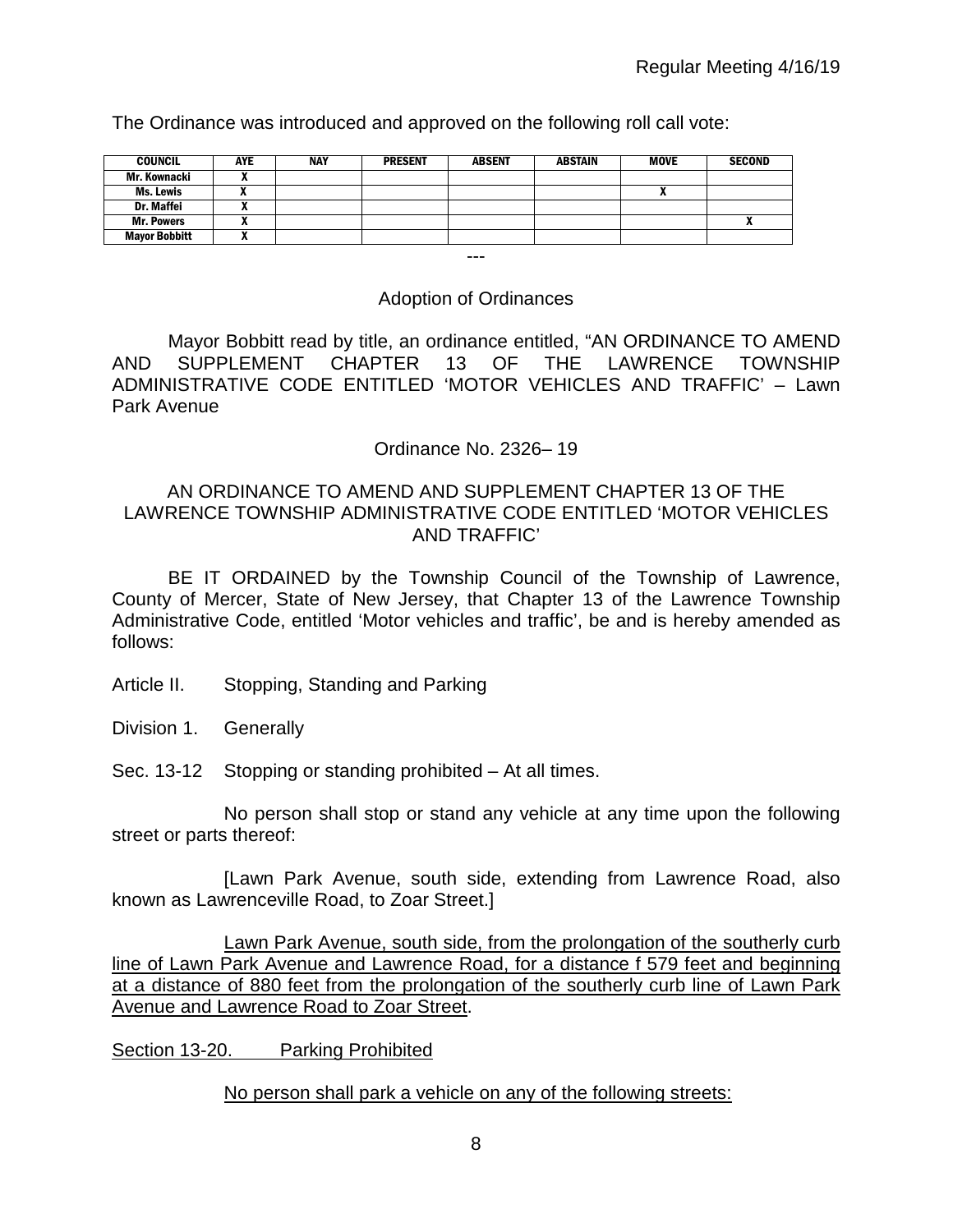The Ordinance was introduced and approved on the following roll call vote:

| <b>COUNCIL</b>       | <b>AYE</b> | <b>NAY</b> | <b>PRESENT</b> | <b>ABSENT</b> | <b>ABSTAIN</b> | <b>MOVE</b> | <b>SECOND</b> |
|----------------------|------------|------------|----------------|---------------|----------------|-------------|---------------|
| Mr. Kownacki         |            |            |                |               |                |             |               |
| Ms. Lewis            |            |            |                |               |                |             |               |
| Dr. Maffei           |            |            |                |               |                |             |               |
| <b>Mr. Powers</b>    |            |            |                |               |                |             |               |
| <b>Mayor Bobbitt</b> |            |            |                |               |                |             |               |

#### Adoption of Ordinances

---

Mayor Bobbitt read by title, an ordinance entitled, "AN ORDINANCE TO AMEND AND SUPPLEMENT CHAPTER 13 OF THE LAWRENCE TOWNSHIP ADMINISTRATIVE CODE ENTITLED 'MOTOR VEHICLES AND TRAFFIC' – Lawn Park Avenue

## Ordinance No. 2326– 19

## AN ORDINANCE TO AMEND AND SUPPLEMENT CHAPTER 13 OF THE LAWRENCE TOWNSHIP ADMINISTRATIVE CODE ENTITLED 'MOTOR VEHICLES AND TRAFFIC'

BE IT ORDAINED by the Township Council of the Township of Lawrence, County of Mercer, State of New Jersey, that Chapter 13 of the Lawrence Township Administrative Code, entitled 'Motor vehicles and traffic', be and is hereby amended as follows:

- Article II. Stopping, Standing and Parking
- Division 1. Generally
- Sec. 13-12 Stopping or standing prohibited At all times.

No person shall stop or stand any vehicle at any time upon the following street or parts thereof:

[Lawn Park Avenue, south side, extending from Lawrence Road, also known as Lawrenceville Road, to Zoar Street.]

Lawn Park Avenue, south side, from the prolongation of the southerly curb line of Lawn Park Avenue and Lawrence Road, for a distance f 579 feet and beginning at a distance of 880 feet from the prolongation of the southerly curb line of Lawn Park Avenue and Lawrence Road to Zoar Street.

Section 13-20. Parking Prohibited

#### No person shall park a vehicle on any of the following streets: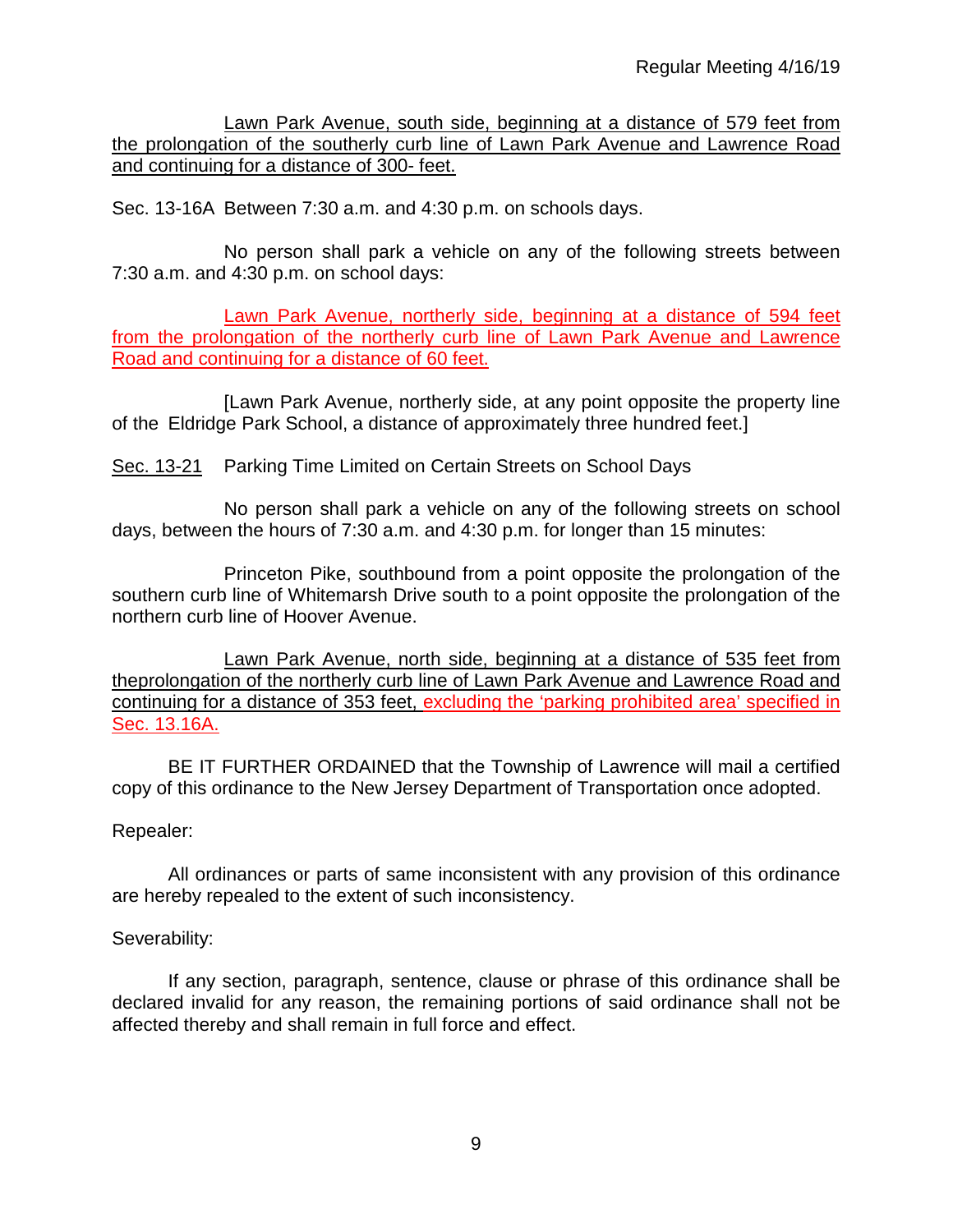Lawn Park Avenue, south side, beginning at a distance of 579 feet from the prolongation of the southerly curb line of Lawn Park Avenue and Lawrence Road and continuing for a distance of 300- feet.

Sec. 13-16A Between 7:30 a.m. and 4:30 p.m. on schools days.

No person shall park a vehicle on any of the following streets between 7:30 a.m. and 4:30 p.m. on school days:

Lawn Park Avenue, northerly side, beginning at a distance of 594 feet from the prolongation of the northerly curb line of Lawn Park Avenue and Lawrence Road and continuing for a distance of 60 feet.

[Lawn Park Avenue, northerly side, at any point opposite the property line of the Eldridge Park School, a distance of approximately three hundred feet.]

Sec. 13-21 Parking Time Limited on Certain Streets on School Days

No person shall park a vehicle on any of the following streets on school days, between the hours of 7:30 a.m. and 4:30 p.m. for longer than 15 minutes:

Princeton Pike, southbound from a point opposite the prolongation of the southern curb line of Whitemarsh Drive south to a point opposite the prolongation of the northern curb line of Hoover Avenue.

Lawn Park Avenue, north side, beginning at a distance of 535 feet from theprolongation of the northerly curb line of Lawn Park Avenue and Lawrence Road and continuing for a distance of 353 feet, excluding the 'parking prohibited area' specified in Sec. 13.16A.

BE IT FURTHER ORDAINED that the Township of Lawrence will mail a certified copy of this ordinance to the New Jersey Department of Transportation once adopted.

## Repealer:

All ordinances or parts of same inconsistent with any provision of this ordinance are hereby repealed to the extent of such inconsistency.

## Severability:

If any section, paragraph, sentence, clause or phrase of this ordinance shall be declared invalid for any reason, the remaining portions of said ordinance shall not be affected thereby and shall remain in full force and effect.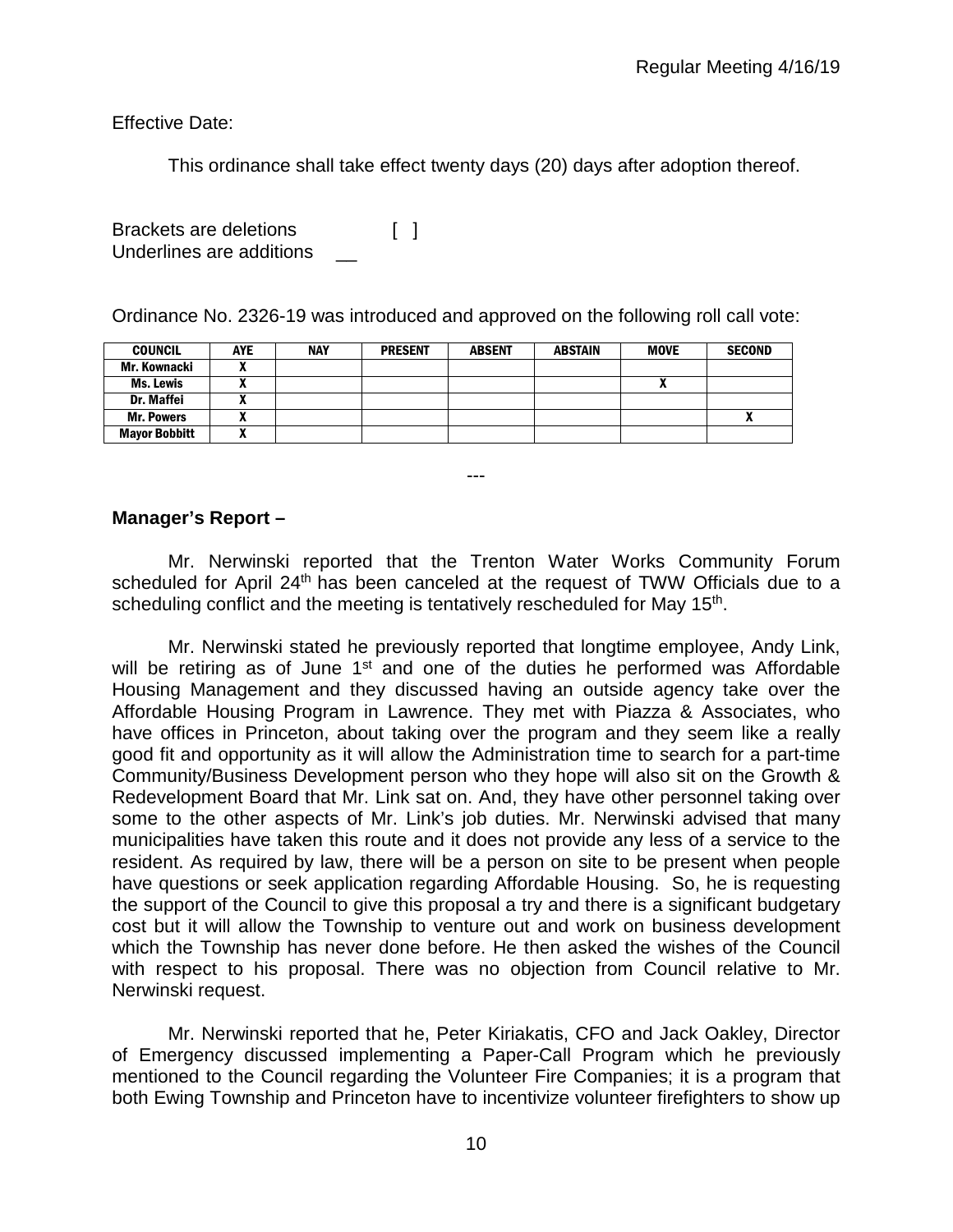Effective Date:

This ordinance shall take effect twenty days (20) days after adoption thereof.

Brackets are deletions [ ] Underlines are additions \_\_

Ordinance No. 2326-19 was introduced and approved on the following roll call vote:

| <b>COUNCIL</b>       | <b>AYE</b> | <b>NAY</b> | <b>PRESENT</b> | <b>ABSENT</b> | <b>ABSTAIN</b> | <b>MOVE</b> | <b>SECOND</b> |
|----------------------|------------|------------|----------------|---------------|----------------|-------------|---------------|
| Mr. Kownacki         |            |            |                |               |                |             |               |
| <b>Ms. Lewis</b>     |            |            |                |               |                | n           |               |
| Dr. Maffei           |            |            |                |               |                |             |               |
| <b>Mr. Powers</b>    |            |            |                |               |                |             |               |
| <b>Mayor Bobbitt</b> |            |            |                |               |                |             |               |

#### **Manager's Report –**

Mr. Nerwinski reported that the Trenton Water Works Community Forum scheduled for April 24<sup>th</sup> has been canceled at the request of TWW Officials due to a scheduling conflict and the meeting is tentatively rescheduled for May 15<sup>th</sup>.

---

Mr. Nerwinski stated he previously reported that longtime employee, Andy Link, will be retiring as of June 1<sup>st</sup> and one of the duties he performed was Affordable Housing Management and they discussed having an outside agency take over the Affordable Housing Program in Lawrence. They met with Piazza & Associates, who have offices in Princeton, about taking over the program and they seem like a really good fit and opportunity as it will allow the Administration time to search for a part-time Community/Business Development person who they hope will also sit on the Growth & Redevelopment Board that Mr. Link sat on. And, they have other personnel taking over some to the other aspects of Mr. Link's job duties. Mr. Nerwinski advised that many municipalities have taken this route and it does not provide any less of a service to the resident. As required by law, there will be a person on site to be present when people have questions or seek application regarding Affordable Housing. So, he is requesting the support of the Council to give this proposal a try and there is a significant budgetary cost but it will allow the Township to venture out and work on business development which the Township has never done before. He then asked the wishes of the Council with respect to his proposal. There was no objection from Council relative to Mr. Nerwinski request.

Mr. Nerwinski reported that he, Peter Kiriakatis, CFO and Jack Oakley, Director of Emergency discussed implementing a Paper-Call Program which he previously mentioned to the Council regarding the Volunteer Fire Companies; it is a program that both Ewing Township and Princeton have to incentivize volunteer firefighters to show up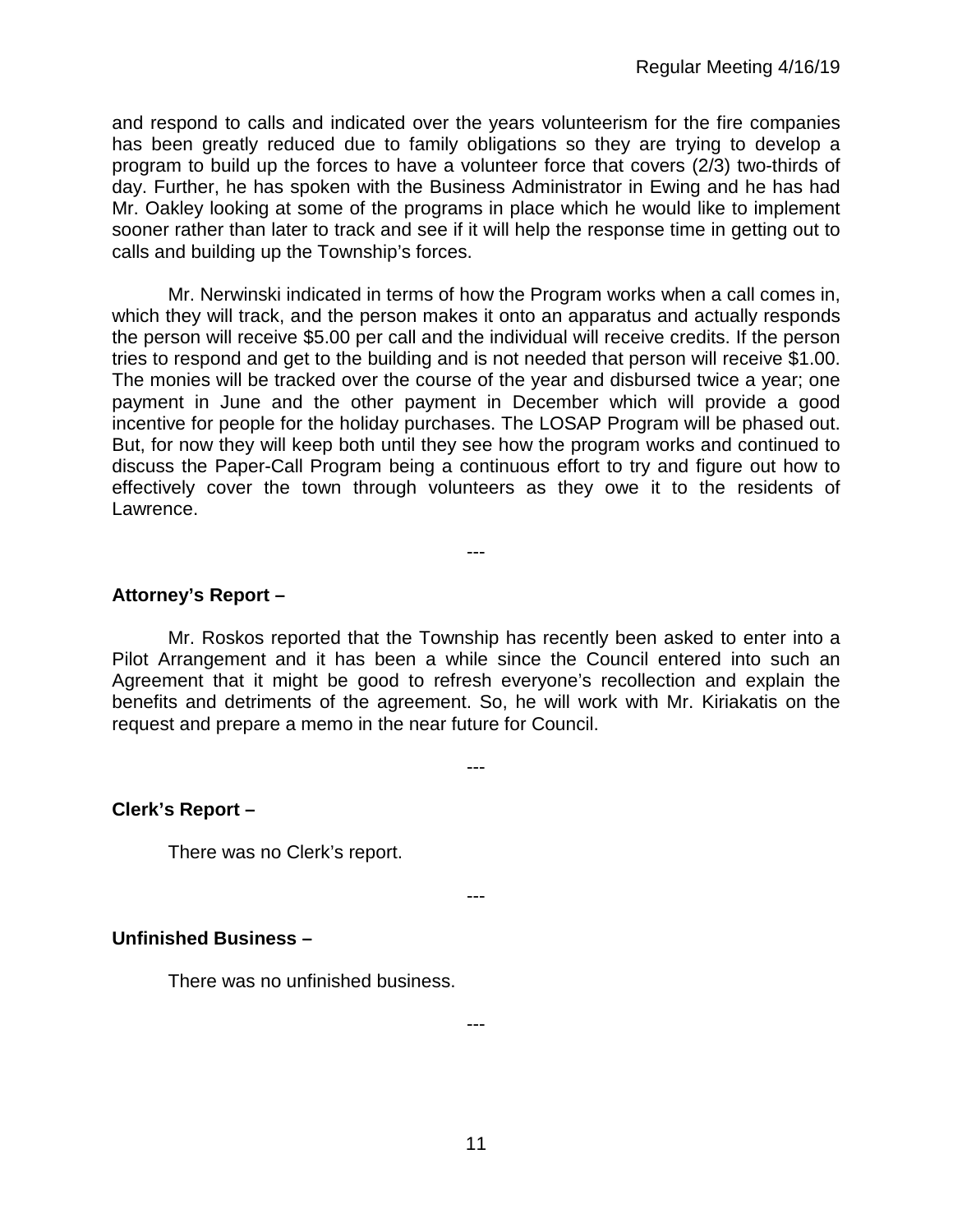and respond to calls and indicated over the years volunteerism for the fire companies has been greatly reduced due to family obligations so they are trying to develop a program to build up the forces to have a volunteer force that covers (2/3) two-thirds of day. Further, he has spoken with the Business Administrator in Ewing and he has had Mr. Oakley looking at some of the programs in place which he would like to implement sooner rather than later to track and see if it will help the response time in getting out to calls and building up the Township's forces.

Mr. Nerwinski indicated in terms of how the Program works when a call comes in, which they will track, and the person makes it onto an apparatus and actually responds the person will receive \$5.00 per call and the individual will receive credits. If the person tries to respond and get to the building and is not needed that person will receive \$1.00. The monies will be tracked over the course of the year and disbursed twice a year; one payment in June and the other payment in December which will provide a good incentive for people for the holiday purchases. The LOSAP Program will be phased out. But, for now they will keep both until they see how the program works and continued to discuss the Paper-Call Program being a continuous effort to try and figure out how to effectively cover the town through volunteers as they owe it to the residents of Lawrence.

## **Attorney's Report –**

Mr. Roskos reported that the Township has recently been asked to enter into a Pilot Arrangement and it has been a while since the Council entered into such an Agreement that it might be good to refresh everyone's recollection and explain the benefits and detriments of the agreement. So, he will work with Mr. Kiriakatis on the request and prepare a memo in the near future for Council.

---

---

---

## **Clerk's Report –**

There was no Clerk's report.

#### **Unfinished Business –**

There was no unfinished business.

---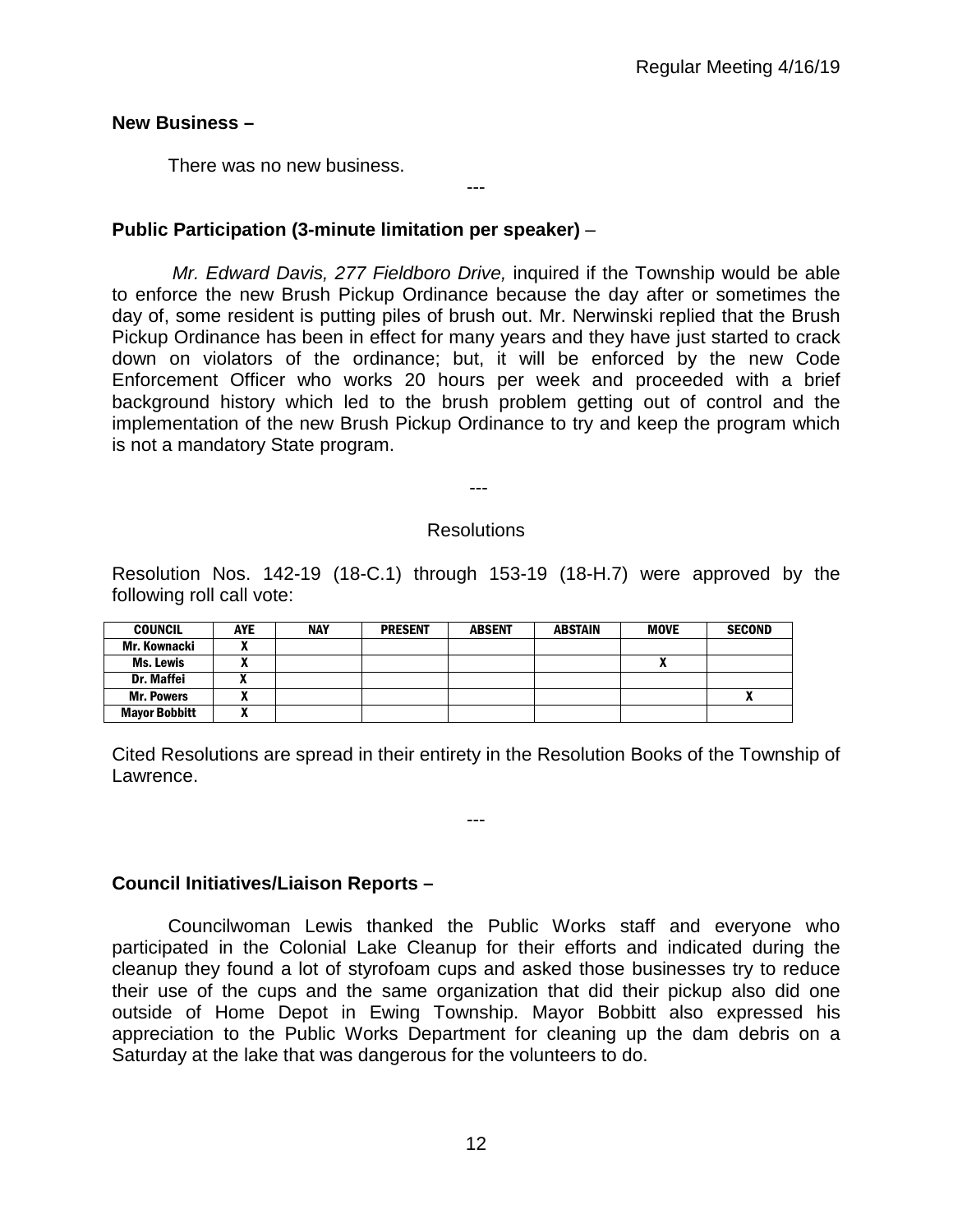#### **New Business –**

There was no new business.

# **Public Participation (3-minute limitation per speaker)** –

*Mr. Edward Davis, 277 Fieldboro Drive,* inquired if the Township would be able to enforce the new Brush Pickup Ordinance because the day after or sometimes the day of, some resident is putting piles of brush out. Mr. Nerwinski replied that the Brush Pickup Ordinance has been in effect for many years and they have just started to crack down on violators of the ordinance; but, it will be enforced by the new Code Enforcement Officer who works 20 hours per week and proceeded with a brief background history which led to the brush problem getting out of control and the implementation of the new Brush Pickup Ordinance to try and keep the program which is not a mandatory State program.

---

#### Resolutions

---

Resolution Nos. 142-19 (18-C.1) through 153-19 (18-H.7) were approved by the following roll call vote:

| <b>COUNCIL</b>       | AYE | <b>NAY</b> | <b>PRESENT</b> | <b>ABSENT</b> | <b>ABSTAIN</b> | <b>MOVE</b> | <b>SECOND</b> |
|----------------------|-----|------------|----------------|---------------|----------------|-------------|---------------|
| Mr. Kownacki         |     |            |                |               |                |             |               |
| <b>Ms. Lewis</b>     |     |            |                |               |                | "           |               |
| <b>Dr. Maffei</b>    |     |            |                |               |                |             |               |
| <b>Mr. Powers</b>    |     |            |                |               |                |             |               |
| <b>Mayor Bobbitt</b> |     |            |                |               |                |             |               |

Cited Resolutions are spread in their entirety in the Resolution Books of the Township of Lawrence.

---

## **Council Initiatives/Liaison Reports –**

Councilwoman Lewis thanked the Public Works staff and everyone who participated in the Colonial Lake Cleanup for their efforts and indicated during the cleanup they found a lot of styrofoam cups and asked those businesses try to reduce their use of the cups and the same organization that did their pickup also did one outside of Home Depot in Ewing Township. Mayor Bobbitt also expressed his appreciation to the Public Works Department for cleaning up the dam debris on a Saturday at the lake that was dangerous for the volunteers to do.